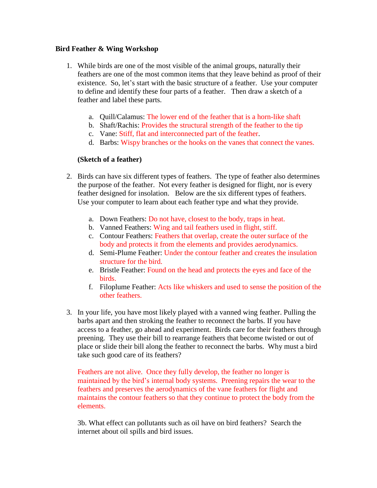## **Bird Feather & Wing Workshop**

- 1. While birds are one of the most visible of the animal groups, naturally their feathers are one of the most common items that they leave behind as proof of their existence. So, let's start with the basic structure of a feather. Use your computer to define and identify these four parts of a feather. Then draw a sketch of a feather and label these parts.
	- a. Quill/Calamus: The lower end of the feather that is a horn-like shaft
	- b. Shaft/Rachis: Provides the structural strength of the feather to the tip
	- c. Vane: Stiff, flat and interconnected part of the feather.
	- d. Barbs: Wispy branches or the hooks on the vanes that connect the vanes.

## **(Sketch of a feather)**

- 2. Birds can have six different types of feathers. The type of feather also determines the purpose of the feather. Not every feather is designed for flight, nor is every feather designed for insolation. Below are the six different types of feathers. Use your computer to learn about each feather type and what they provide.
	- a. Down Feathers: Do not have, closest to the body, traps in heat.
	- b. Vanned Feathers: Wing and tail feathers used in flight, stiff.
	- c. Contour Feathers: Feathers that overlap, create the outer surface of the body and protects it from the elements and provides aerodynamics.
	- d. Semi-Plume Feather: Under the contour feather and creates the insulation structure for the bird.
	- e. Bristle Feather: Found on the head and protects the eyes and face of the birds.
	- f. Filoplume Feather: Acts like whiskers and used to sense the position of the other feathers.
- 3. In your life, you have most likely played with a vanned wing feather. Pulling the barbs apart and then stroking the feather to reconnect the barbs. If you have access to a feather, go ahead and experiment. Birds care for their feathers through preening. They use their bill to rearrange feathers that become twisted or out of place or slide their bill along the feather to reconnect the barbs. Why must a bird take such good care of its feathers?

Feathers are not alive. Once they fully develop, the feather no longer is maintained by the bird's internal body systems. Preening repairs the wear to the feathers and preserves the aerodynamics of the vane feathers for flight and maintains the contour feathers so that they continue to protect the body from the elements.

3b. What effect can pollutants such as oil have on bird feathers? Search the internet about oil spills and bird issues.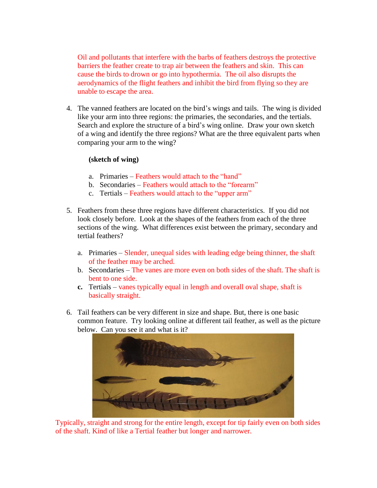Oil and pollutants that interfere with the barbs of feathers destroys the protective barriers the feather create to trap air between the feathers and skin. This can cause the birds to drown or go into hypothermia. The oil also disrupts the aerodynamics of the flight feathers and inhibit the bird from flying so they are unable to escape the area.

4. The vanned feathers are located on the bird's wings and tails. The wing is divided like your arm into three regions: the primaries, the secondaries, and the tertials. Search and explore the structure of a bird's wing online. Draw your own sketch of a wing and identify the three regions? What are the three equivalent parts when comparing your arm to the wing?

## **(sketch of wing)**

- a. Primaries Feathers would attach to the "hand"
- b. Secondaries Feathers would attach to the "forearm"
- c. Tertials Feathers would attach to the "upper arm"
- 5. Feathers from these three regions have different characteristics. If you did not look closely before. Look at the shapes of the feathers from each of the three sections of the wing. What differences exist between the primary, secondary and tertial feathers?
	- a. Primaries Slender, unequal sides with leading edge being thinner, the shaft of the feather may be arched.
	- b. Secondaries The vanes are more even on both sides of the shaft. The shaft is bent to one side.
	- **c.** Tertials vanes typically equal in length and overall oval shape, shaft is basically straight.
- 6. Tail feathers can be very different in size and shape. But, there is one basic common feature. Try looking online at different tail feather, as well as the picture below. Can you see it and what is it?



Typically, straight and strong for the entire length, except for tip fairly even on both sides of the shaft. Kind of like a Tertial feather but longer and narrower.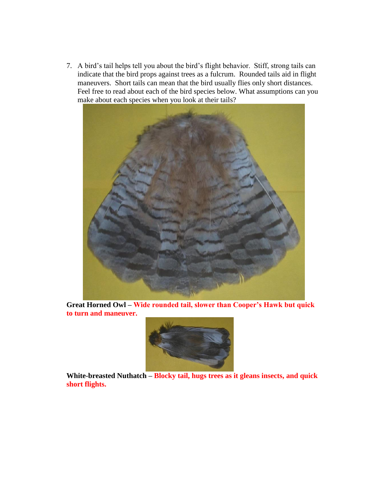7. A bird's tail helps tell you about the bird's flight behavior. Stiff, strong tails can indicate that the bird props against trees as a fulcrum. Rounded tails aid in flight maneuvers. Short tails can mean that the bird usually flies only short distances. Feel free to read about each of the bird species below. What assumptions can you make about each species when you look at their tails?



**Great Horned Owl – Wide rounded tail, slower than Cooper's Hawk but quick to turn and maneuver.**



**White-breasted Nuthatch – Blocky tail, hugs trees as it gleans insects, and quick short flights.**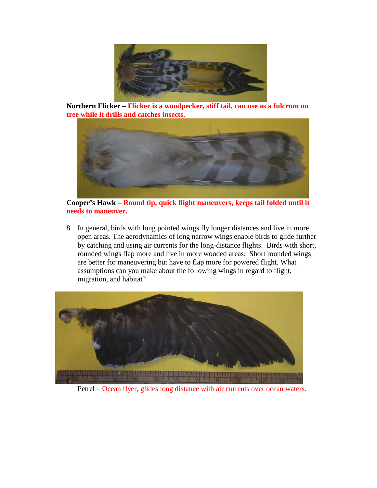

**Northern Flicker – Flicker is a woodpecker, stiff tail, can use as a fulcrum on tree while it drills and catches insects.**



**Cooper's Hawk – Round tip, quick flight maneuvers, keeps tail folded until it needs to maneuver.**

8. In general, birds with long pointed wings fly longer distances and live in more open areas. The aerodynamics of long narrow wings enable birds to glide further by catching and using air currents for the long-distance flights. Birds with short, rounded wings flap more and live in more wooded areas. Short rounded wings are better for maneuvering but have to flap more for powered flight. What assumptions can you make about the following wings in regard to flight, migration, and habitat?



Petrel – Ocean flyer, glides long distance with air currents over ocean waters.